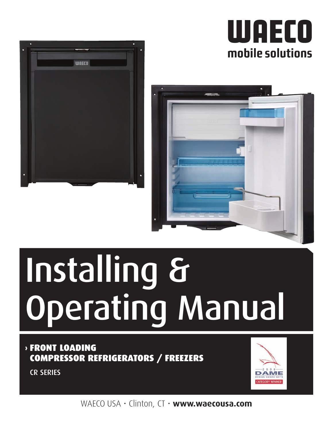





# **Installing & Operating Manual**

## **› FRONT LOADING COMPRESSOR REFRIGERATORS / FREEZERS**

**CR SERIES**



WAECO USA • Clinton, CT • **www.waecousa.com**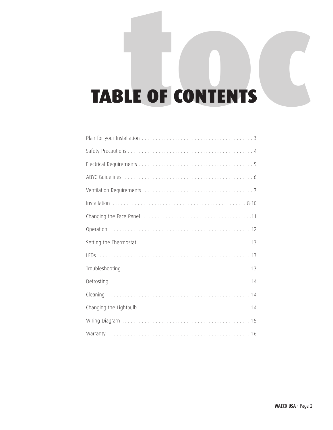# TABLE OF CONTENTS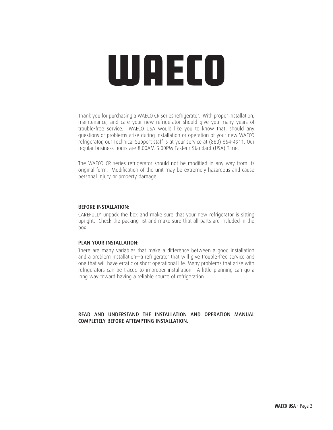# WAECO

Thank you for purchasing a WAECO CR series refrigerator. With proper installation, maintenance, and care your new refrigerator should give you many years of trouble-free service. WAECO USA would like you to know that, should any questions or problems arise during installation or operation of your new WAECO refrigerator, our Technical Support staff is at your service at (860) 664-4911. Our regular business hours are 8:00AM-5:00PM Eastern Standard (USA) Time.

The WAECO CR series refrigerator should not be modified in any way from its original form. Modification of the unit may be extremely hazardous and cause personal injury or property damage.

#### **BEFORE INSTALLATION:**

CAREFULLY unpack the box and make sure that your new refrigerator is sitting upright. Check the packing list and make sure that all parts are included in the box.

#### **PLAN YOUR INSTALLATION:**

There are many variables that make a difference between a good installation and a problem installation—a refrigerator that will give trouble-free service and one that will have erratic or short operational life. Many problems that arise with refrigerators can be traced to improper installation. A little planning can go a long way toward having a reliable source of refrigeration.

#### **READ AND UNDERSTAND THE INSTALLATION AND OPERATION MANUAL COMPLETELY BEFORE ATTEMPTING INSTALLATION.**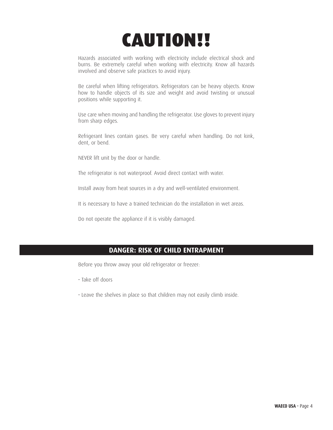

Hazards associated with working with electricity include electrical shock and burns. Be extremely careful when working with electricity. Know all hazards involved and observe safe practices to avoid injury.

Be careful when lifting refrigerators. Refrigerators can be heavy objects. Know how to handle objects of its size and weight and avoid twisting or unusual positions while supporting it.

Use care when moving and handling the refrigerator. Use gloves to prevent injury from sharp edges.

Refrigerant lines contain gases. Be very careful when handling. Do not kink, dent, or bend.

NEVER lift unit by the door or handle.

The refrigerator is not waterproof. Avoid direct contact with water.

Install away from heat sources in a dry and well-ventilated environment.

It is necessary to have a trained technician do the installation in wet areas.

Do not operate the appliance if it is visibly damaged.

#### **DANGER: RISK OF CHILD ENTRAPMENT**

Before you throw away your old refrigerator or freezer:

- Take off doors
- Leave the shelves in place so that children may not easily climb inside.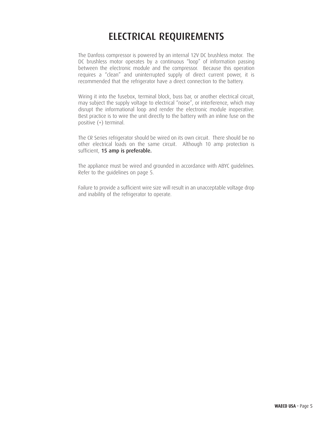# **ELECTRICAL REQUIREMENTS**

The Danfoss compressor is powered by an internal 12V DC brushless motor. The DC brushless motor operates by a continuous "loop" of information passing between the electronic module and the compressor. Because this operation requires a "clean" and uninterrupted supply of direct current power, it is recommended that the refrigerator have a direct connection to the battery.

Wiring it into the fusebox, terminal block, buss bar, or another electrical circuit, may subject the supply voltage to electrical "noise", or interference, which may disrupt the informational loop and render the electronic module inoperative. Best practice is to wire the unit directly to the battery with an inline fuse on the positive (+) terminal.

The CR Series refrigerator should be wired on its own circuit. There should be no other electrical loads on the same circuit. Although 10 amp protection is sufficient, **15 amp is preferable.** 

The appliance must be wired and grounded in accordance with ABYC guidelines. Refer to the guidelines on page 5.

Failure to provide a sufficient wire size will result in an unacceptable voltage drop and inability of the refrigerator to operate.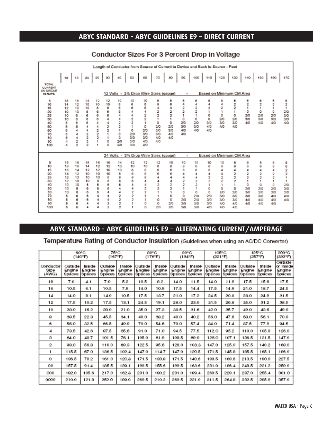#### **ABYC STANDARD - ABYC GUIDELINES E9 – DIRECT CURRENT**

| Length of Conductor from Source of Current to Device and Back to Source - Feet    |                                                                         |                                                                      |                                                                               |                                                                         |                                                                                           |                                                                    |                                                         |                                                                                |                                                                                       |                                                                                                        |                                                                 |                                                                                              |                                                                                   |                                                                                       |                                                                    |                                                          |                                                                                       |                                                                |                                                              |
|-----------------------------------------------------------------------------------|-------------------------------------------------------------------------|----------------------------------------------------------------------|-------------------------------------------------------------------------------|-------------------------------------------------------------------------|-------------------------------------------------------------------------------------------|--------------------------------------------------------------------|---------------------------------------------------------|--------------------------------------------------------------------------------|---------------------------------------------------------------------------------------|--------------------------------------------------------------------------------------------------------|-----------------------------------------------------------------|----------------------------------------------------------------------------------------------|-----------------------------------------------------------------------------------|---------------------------------------------------------------------------------------|--------------------------------------------------------------------|----------------------------------------------------------|---------------------------------------------------------------------------------------|----------------------------------------------------------------|--------------------------------------------------------------|
| <b>TOTAL</b><br>CURRENT                                                           |                                                                         |                                                                      |                                                                               |                                                                         |                                                                                           |                                                                    |                                                         |                                                                                |                                                                                       | │ 10 │ 15 │ 20 │ 25 │ 30 │ 40 │ 50 │ 60 │ 70 │ 60 │ 60 │ 100 │ 110 │ 120 │ 130 │ 140 │ 150 │ 160 │ 170 |                                                                 |                                                                                              |                                                                                   |                                                                                       |                                                                    |                                                          |                                                                                       |                                                                |                                                              |
| ON CIRCUIT<br>IN AMPS.                                                            |                                                                         |                                                                      |                                                                               |                                                                         |                                                                                           |                                                                    |                                                         |                                                                                | 12 Volts - 3% Drop Wire Sizes (gauge)                                                 |                                                                                                        | $\sim$                                                          |                                                                                              |                                                                                   |                                                                                       | Based on Minimum CM Area                                           |                                                          |                                                                                       |                                                                |                                                              |
| 5<br>10<br>15<br>8888<br>50<br>60<br>70<br>80<br>90<br>100                        | 18<br>14<br>12<br>10<br>10<br>10<br>8<br>e<br>€<br>6<br>Ĥ<br>4          | 16<br>12<br>10<br>10<br>g,<br>ă,<br>Ŝ<br>ŝ<br>4<br>d<br>4<br>2<br>÷, | 14<br>10<br>10<br>8<br>6<br>ň<br>6<br>4<br>4<br>ż<br>2<br>2<br>$\overline{2}$ | 12<br>10<br>8<br>6<br>6<br>Š<br>A<br>4<br>2<br>2<br>$\overline{2}$<br>٠ | 12<br>10<br>8<br>Ĥ<br>6<br>4<br>4<br>$\overline{2}$<br>$\overline{2}$<br>٠<br>٠<br>ō<br>Õ | 10<br>8<br>Ĥ<br>Ĥ<br>A<br>A<br>2<br>2<br>t<br>ō<br>٥<br>200<br>200 | 10<br>6<br>٠<br>2<br>٥<br>20<br>3/D<br>3/0<br>3/0       | 10<br>6<br>Ŝ<br>2<br>Ž<br>٠<br>٥<br>2/0<br>300<br>3 <sub>0</sub><br>410<br>4/0 | 8<br>6<br>4<br>2<br>2<br>٠<br>o<br>2/0<br>3.0<br>3.63<br>410<br>40                    | 8<br>6<br>4<br>2<br>$\overline{2}$<br>٠<br>o<br>280<br>3/0<br>4/0<br>4/0                               | 8<br>4<br>2<br>2<br>1<br>٥<br>2/0<br>3/0<br>40<br>4/0           | Ū<br>4<br>2<br>$\overline{2}$<br>٠<br>ũ<br>280<br>3/0<br>40                                  | в<br>4<br>2<br>f.<br>o<br>Õ.<br>3/0<br>4/0<br>4/0                                 | s<br>4<br>2<br>1<br>o<br>2/0<br>3/0<br>4/0                                            | 6<br>2<br>2<br>1<br>o<br>2X0<br>3.0<br>40                          | в<br>z<br>0<br>200<br>3/0<br>4/0                         | B<br>Ż<br>۹<br>٥<br>2/0<br>3/0<br>4/0                                                 | в<br>2<br>1<br>o<br>200<br>3.0<br>410                          | в<br>2<br>۰<br>280<br>3/0<br>3/0<br>410                      |
|                                                                                   | 24 Volts - 3% Drop Wire Sizes (gauge)                                   |                                                                      |                                                                               |                                                                         |                                                                                           |                                                                    |                                                         |                                                                                |                                                                                       | $\sim$                                                                                                 |                                                                 |                                                                                              |                                                                                   | Based on Minimum CM Area                                                              |                                                                    |                                                          |                                                                                       |                                                                |                                                              |
| 5<br>10<br>15<br>20<br>$\frac{25}{30}$<br>40<br>50<br>60<br>70<br>80<br>90<br>100 | ۹ñ<br>18<br>16<br>14<br>12<br>12<br>10<br>10<br>10<br>ã<br>ã<br>ŝ<br>Ř, | 18<br>16<br>14<br>12<br>12<br>10<br>10<br>8<br>B<br>6<br>θ<br>₿<br>6 | 18<br>14<br>12<br>10<br>10<br>10<br>ŝ<br>6<br>6<br>6<br>6<br>۷                | 16<br>12<br>12<br>10<br>10<br>п<br>£.<br>e<br>6<br>4<br>4<br>A<br>А     | 16<br>$12^{1}$<br>10<br>10<br>8<br>B.<br>в<br>6<br>٤<br>۷<br>2<br>$\overline{2}$          | 14<br>10<br>10<br>в<br>8<br>6<br>6<br>4<br>۷<br>2<br>2<br>2<br>2   | 12<br>10<br>s<br>e.<br>8<br>×.<br>۵<br>4<br>2<br>Ž<br>2 | 12<br>10<br>8<br>6<br>Ĥ<br>a<br>á<br>2<br>2<br>ũ<br>n                          | 12<br>8<br>6<br>ń.<br>đ<br>$\overline{z}$<br>$\mathfrak z$<br>٠<br>٠<br>Õ<br>Õ<br>200 | 10<br>a<br>6<br>б<br>4<br>4<br>2<br>2<br>٩<br>Ö<br>Õ<br>2/0<br>2/0                                     | 10<br>8<br>6<br>4<br>2<br>2<br>1<br>o<br>o<br>200<br>2x0<br>3/0 | 10<br>6<br>6<br>A<br>Á<br>$\overline{\overline{2}}$<br>2<br>٦<br>o<br>20<br>20<br>5/0<br>3/0 | 10<br>6<br>6<br>4<br>ż<br>$\overline{2}$<br>1<br>Ō<br>o<br>20<br>3/0<br>30<br>410 | 10<br>6<br>۷<br>۷<br>ż<br>$\overline{z}$<br>٠<br>û<br>2/0<br>300<br>3XO<br>4/0<br>4/0 | 8<br>₿<br>л<br>2<br>2<br>2<br>٥<br>2/0<br>300<br>3/0<br>4/0<br>410 | 8<br>ë<br>ż<br>ž<br>Ď<br>200<br>3/0<br>200<br>4/0<br>4/0 | в<br>6<br>٤<br>2<br>٠<br>Ò<br>210<br>30 <sup>o</sup><br>30 <sub>0</sub><br>4/0<br>410 | 8<br>6<br>2<br>ż<br>٠<br>Ŭ.<br>280<br>3/0<br>410<br>410<br>410 | B<br>ĕ<br>2<br>2<br>٦<br>٠<br>200<br>30<br>3/0<br>4/D<br>4/0 |

#### Conductor Sizes For 3 Percent Drop in Voltage

#### **ABYC STANDARD - ABYC GUIDELINES E9 – ALTERNATING CURRENT/AMPERAGE**

#### Temperature Rating of Conductor Insulation (Guidelines when using an AC/DC Converter)

|                            | 80°C<br>(140°F)             |                            | 75°C<br>(167°F)                    |                            | 80°C<br>(176°F)             |                            | 90°C<br>$(194^{\circ}F)$    |                            | 105°C<br>(221°F)            |                            | 125°C<br>(257°F)            |                            | 200°C<br>(392°F)                         |
|----------------------------|-----------------------------|----------------------------|------------------------------------|----------------------------|-----------------------------|----------------------------|-----------------------------|----------------------------|-----------------------------|----------------------------|-----------------------------|----------------------------|------------------------------------------|
| Conductor<br>Size<br>(AWG) | Outside<br>Engine<br>Spaces | Inside<br>Engine<br>Spaces | <b>Outside</b><br>Engine<br>Spaces | Inside<br>Engine<br>Spaces | Outside<br>Engine<br>Spaces | Inside<br>Engine<br>Spaces | Outside<br>Engine<br>Spaces | Inside<br>Engine<br>Spaces | Outside<br>Engine<br>Spaces | Inside<br>Engine<br>Spaces | Outside<br>Engine<br>Spaces | Inside<br>Engine<br>Spaces | ebiatuO<br>or Inside<br>Engine<br>Spaces |
| 18                         | 7.0                         | 4.1                        | 7.0                                | 5.3                        | 10.5                        | 8.2                        | 14.0                        | 11.5                       | 14.0                        | 11.9                       | 17.5                        | 15.6                       | 17.5                                     |
| 16                         | 10.5                        | 6.1                        | 10.5                               | 7.9                        | 14.0                        | 10.9                       | 17.5                        | 14.4                       | 17.5                        | 14.9                       | 21.0                        | 18.7                       | 24.5                                     |
| 14                         | 14.0                        | 8.1                        | 14.0                               | 10.5                       | 17.5                        | 13.7                       | 21.0                        | 17.2                       | 24.5                        | 20.8                       | 28.0                        | 24.9                       | 31.5                                     |
| 12                         | 17.5                        | 10.2                       | 17.5                               | 13.1                       | 24.5                        | 19.1                       | 28.0                        | 23.0                       | 31.5                        | 26.8                       | 35.0                        | 31.2                       | 38.5                                     |
| 10                         | 28.0                        | 16.2                       | 28.0                               | 21.0                       | 35.0                        | 27.3                       | 38.5                        | 31.6                       | 42.0                        | 35.7                       | 49.0                        | 43.6                       | 49.0                                     |
| 8                          | 38.5                        | 22.3                       | 45.5                               | 34.1                       | 49.0                        | 38.2                       | 49.0                        | 40.2                       | 56.0                        | 47.6                       | 63.0                        | 56.1                       | 70.0                                     |
| 6                          | 56.0                        | 32.5                       | 66.5                               | 49.9                       | 70.0                        | 54.6                       | 70.0                        | 57.4                       | 84.0                        | 71.4                       | 87.5                        | 77.9                       | 94.5                                     |
| 4                          | 73.5                        | 42.6                       | 87.5                               | 65.6                       | 91.0                        | 71.0                       | 94.5                        | 77.5                       | 112.0                       | 95.2                       | 119.0                       | 105.9                      | 126.0                                    |
| з                          | 84.0                        | 48.7                       | 101.5                              | 76.1                       | 105.0                       | 81.9                       | 108.5                       | 89.0                       | 126.0                       | 107.1                      | 196.5                       | 121.5                      | 147.0                                    |
| 2                          | 98.0                        | 56.8                       | 119.0                              | 89.3                       | 122.5                       | 95.6                       | 126.0                       | 103.3                      | 147.0                       | 125.0                      | 157.5                       | 140.2                      | 168.0                                    |
| 1                          | 115.5                       | 67.0                       | 136.5                              | 102.4                      | 147.0                       | 114.7                      | 147.0                       | 120.5                      | 171.5                       | 145.8                      | 185.5                       | 165.1                      | 196.0                                    |
| o                          | 136.5                       | 79.2                       | 161.0                              | 120.8                      | 171.5                       | 133.8                      | 171.5                       | 140.6                      | 199.5                       | 169.6                      | 213.5                       | 190.0                      | 227.5                                    |
| 00                         | 157.5                       | 91.4                       | 185.5                              | 139.1                      | 199.5                       | 155.6                      | 199.5                       | 163.6                      | 231.0                       | 196.4                      | 248.5                       | 221.2                      | 259.0                                    |
| $^{000}$                   | 182.0                       | 105.6                      | 217.0                              | 162.8                      | 231.0                       | 190.2                      | 231.0                       | 189.4                      | 269.5                       | 229.1                      | 287.0                       | 255.4                      | 301.0                                    |
| 0000                       | 210.0                       | 121.8                      | 252.0                              | 199.0                      | 269.5                       | 210.2                      | 269.5                       | 221.0                      | 311.5                       | 264.8                      | 332.5                       | 295.9                      | 357.0                                    |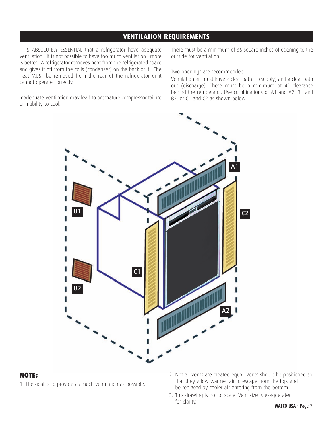#### **VENTILATION REQUIREMENTS**

IT IS ABSOLUTELY ESSENTIAL that a refrigerator have adequate ventilation. It is not possible to have too much ventilation—more is better. A refrigerator removes heat from the refrigerated space and gives it off from the coils (condenser) on the back of it. The heat MUST be removed from the rear of the refrigerator or it cannot operate correctly.

Inadequate ventilation may lead to premature compressor failure or inability to cool.

There must be a minimum of 36 square inches of opening to the outside for ventilation.

Two openings are recommended.

Ventilation air must have a clear path in (supply) and a clear path out (discharge). There must be a minimum of 4" clearance behind the refrigerator. Use combinations of A1 and A2, B1 and B2, or C1 and C2 as shown below.



#### **NOTE:**

- 1. The goal is to provide as much ventilation as possible.
- 2. Not all vents are created equal. Vents should be positioned so that they allow warmer air to escape from the top, and be replaced by cooler air entering from the bottom.
- 3. This drawing is not to scale. Vent size is exaggerated for clarity. **WAECO USA** • Page 7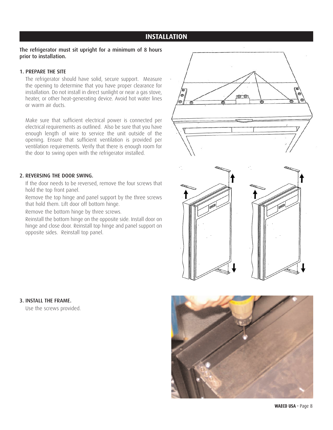#### **INSTALLATION**

#### **The refrigerator must sit upright for a minimum of 8 hours prior to installation.**

#### **1. PREPARE THE SITE**

The refrigerator should have solid, secure support. Measure the opening to determine that you have proper clearance for installation. Do not install in direct sunlight or near a gas stove, heater, or other heat-generating device. Avoid hot water lines or warm air ducts.

Make sure that sufficient electrical power is connected per electrical requirements as outlined. Also be sure that you have enough length of wire to service the unit outside of the opening. Ensure that sufficient ventilation is provided per ventilation requirements. Verify that there is enough room for the door to swing open with the refrigerator installed.

#### **2. REVERSING THE DOOR SWING.**

If the door needs to be reversed, remove the four screws that hold the top front panel.

Remove the top hinge and panel support by the three screws that hold them. Lift door off bottom hinge.

Remove the bottom hinge by three screws.

Reinstall the bottom hinge on the opposite side. Install door on hinge and close door. Reinstall top hinge and panel support on opposite sides. Reinstall top panel.

#### **3. INSTALL THE FRAME.**

Use the screws provided.

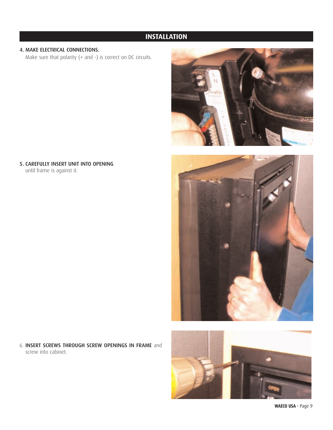#### **INSTALLATION**

#### **4. MAKE ELECTRICAL CONNECTIONS.**

Make sure that polarity (+ and -) is correct on DC circuits.





6. **INSERT SCREWS THROUGH SCREW OPENINGS IN FRAME** and screw into cabinet.



**WAECO USA** • Page 9

### **5. CAREFULLY INSERT UNIT INTO OPENING**

until frame is against it.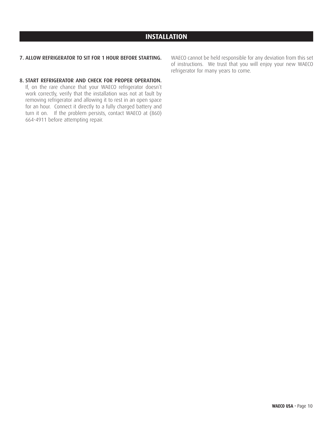#### **INSTALLATION**

**7. ALLOW REFRIGERATOR TO SIT FOR 1 HOUR BEFORE STARTING.** 

WAECO cannot be held responsible for any deviation from this set of instructions. We trust that you will enjoy your new WAECO refrigerator for many years to come.

**8. START REFRIGERATOR AND CHECK FOR PROPER OPERATION.** If, on the rare chance that your WAECO refrigerator doesn't work correctly, verify that the installation was not at fault by removing refrigerator and allowing it to rest in an open space for an hour. Connect it directly to a fully charged battery and turn it on. If the problem persists, contact WAECO at (860) 664-4911 before attempting repair.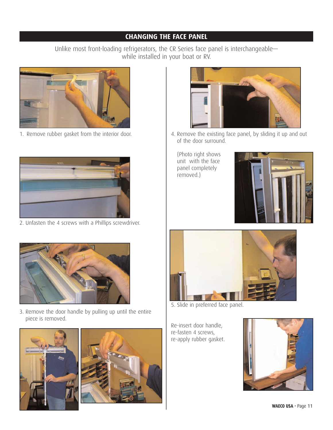#### **CHANGING THE FACE PANEL**

Unlike most front-loading refrigerators, the CR Series face panel is interchangeable while installed in your boat or RV.



1. Remove rubber gasket from the interior door.



2. Unfasten the 4 screws with a Phillips screwdriver.



3. Remove the door handle by pulling up until the entire piece is removed.







4. Remove the existing face panel, by sliding it up and out of the door surround.

{Photo right shows unit with the face panel completely removed.}





5. Slide in preferred face panel.

Re-insert door handle, re-fasten 4 screws, re-apply rubber gasket.

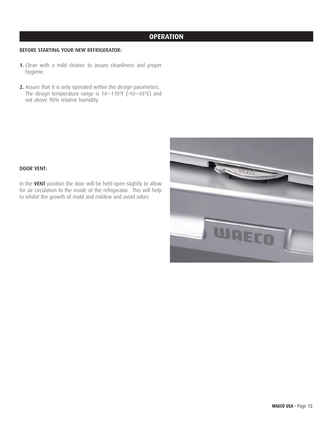#### **OPERATION**

#### **BEFORE STARTING YOUR NEW REFRIGERATOR:**

- **1.** Clean with a mild cleaner to assure cleanliness and proper hygiene.
- **2.** Assure that it is only operated within the design parameters. The design temperature range is  $14-110^{\circ}F$  (-10-43°C) and not above 90% relative humidity.



#### **DOOR VENT:**

In the **VENT** position the door will be held open slightly to allow for air circulation to the inside of the refrigerator. This will help to inhibit the growth of mold and mildew and avoid odors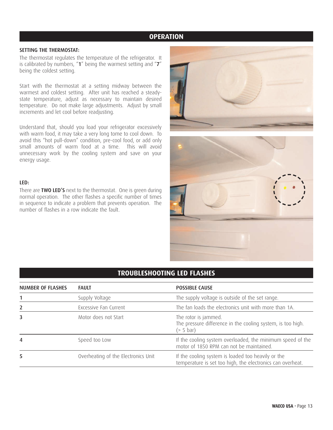#### **OPERATION**

#### **SETTING THE THERMOSTAT:**

The thermostat regulates the temperature of the refrigerator. It is calibrated by numbers, "**1**" being the warmest setting and "**7**" being the coldest setting.

Start with the thermostat at a setting midway between the warmest and coldest setting. After unit has reached a steadystate temperature, adjust as necessary to maintain desired temperature. Do not make large adjustments. Adjust by small increments and let cool before readjusting.

Understand that, should you load your refrigerator excessively with warm food, it may take a very long tome to cool down. To avoid this "hot pull-down" condition, pre-cool food, or add only small amounts of warm food at a time. This will avoid unnecessary work by the cooling system and save on your energy usage.

#### **LED:**

There are **TWO LED'S** next to the thermostat. One is green during normal operation. The other flashes a specific number of times in sequence to indicate a problem that prevents operation. The number of flashes in a row indicate the fault.





#### **TROUBLESHOOTING LED FLASHES**

| <b>NUMBER OF FLASHES</b> | <b>FAULT</b>                        | <b>POSSIBLE CAUSE</b>                                                                                            |
|--------------------------|-------------------------------------|------------------------------------------------------------------------------------------------------------------|
|                          | Supply Voltage                      | The supply voltage is outside of the set range.                                                                  |
|                          | Excessive Fan Current               | The fan loads the electronics unit with more than 1A.                                                            |
| 3                        | Motor does not Start                | The rotor is jammed.<br>The pressure difference in the cooling system, is too high.<br>(> 5 bar)                 |
| 4                        | Speed too Low                       | If the cooling system overloaded, the minimum speed of the<br>motor of 1850 RPM can not be maintained.           |
| 5                        | Overheating of the Electronics Unit | If the cooling system is loaded too heavily or the<br>temperature is set too high, the electronics can overheat. |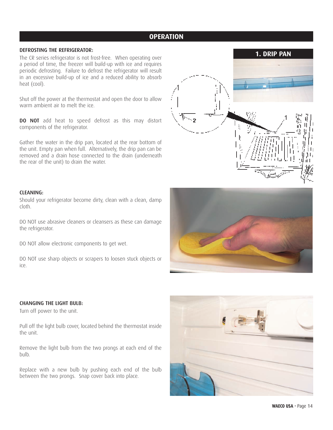#### **OPERATION**

#### **DEFROSTING THE REFRIGERATOR:**

The CR series refrigerator is not frost-free. When operating over a period of time, the freezer will build-up with ice and requires periodic defrosting. Failure to defrost the refrigerator will result in an excessive build-up of ice and a reduced ability to absorb heat (cool).

Shut off the power at the thermostat and open the door to allow warm ambient air to melt the ice.

**DO NOT** add heat to speed defrost as this may distort components of the refrigerator.

Gather the water in the drip pan, located at the rear bottom of the unit. Empty pan when full. Alternatively, the drip pan can be removed and a drain hose connected to the drain (underneath the rear of the unit) to drain the water.



#### **CLEANING:**

Should your refrigerator become dirty, clean with a clean, damp cloth.

DO NOT use abrasive cleaners or cleansers as these can damage the refrigerator.

DO NOT allow electronic components to get wet.

DO NOT use sharp objects or scrapers to loosen stuck objects or ice.



Turn off power to the unit.

Pull off the light bulb cover, located behind the thermostat inside the unit.

Remove the light bulb from the two prongs at each end of the bulb.

Replace with a new bulb by pushing each end of the bulb between the two prongs. Snap cover back into place.



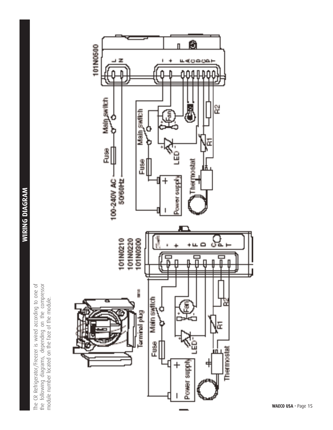

the following diagrams, depending on the compressor The CR Refrigerator/Freezer is wired according to one of The CR Refrigerator/Freezer is wired according to one of the following diagrams, depending on the compressor module number located on the face of the module. module number located on the face of the module.